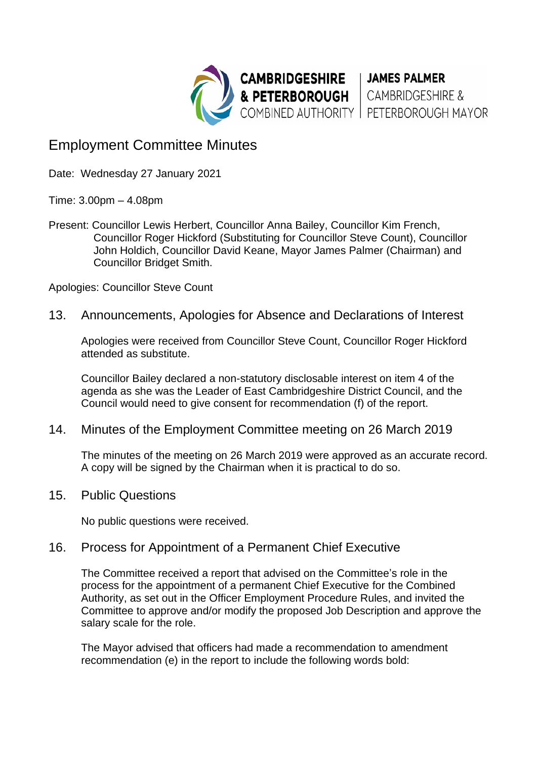

## Employment Committee Minutes

Date: Wednesday 27 January 2021

Time: 3.00pm – 4.08pm

Present: Councillor Lewis Herbert, Councillor Anna Bailey, Councillor Kim French, Councillor Roger Hickford (Substituting for Councillor Steve Count), Councillor John Holdich, Councillor David Keane, Mayor James Palmer (Chairman) and Councillor Bridget Smith.

Apologies: Councillor Steve Count

13. Announcements, Apologies for Absence and Declarations of Interest

Apologies were received from Councillor Steve Count, Councillor Roger Hickford attended as substitute.

Councillor Bailey declared a non-statutory disclosable interest on item 4 of the agenda as she was the Leader of East Cambridgeshire District Council, and the Council would need to give consent for recommendation (f) of the report.

## 14. Minutes of the Employment Committee meeting on 26 March 2019

The minutes of the meeting on 26 March 2019 were approved as an accurate record. A copy will be signed by the Chairman when it is practical to do so.

15. Public Questions

No public questions were received.

## 16. Process for Appointment of a Permanent Chief Executive

The Committee received a report that advised on the Committee's role in the process for the appointment of a permanent Chief Executive for the Combined Authority, as set out in the Officer Employment Procedure Rules, and invited the Committee to approve and/or modify the proposed Job Description and approve the salary scale for the role.

The Mayor advised that officers had made a recommendation to amendment recommendation (e) in the report to include the following words bold: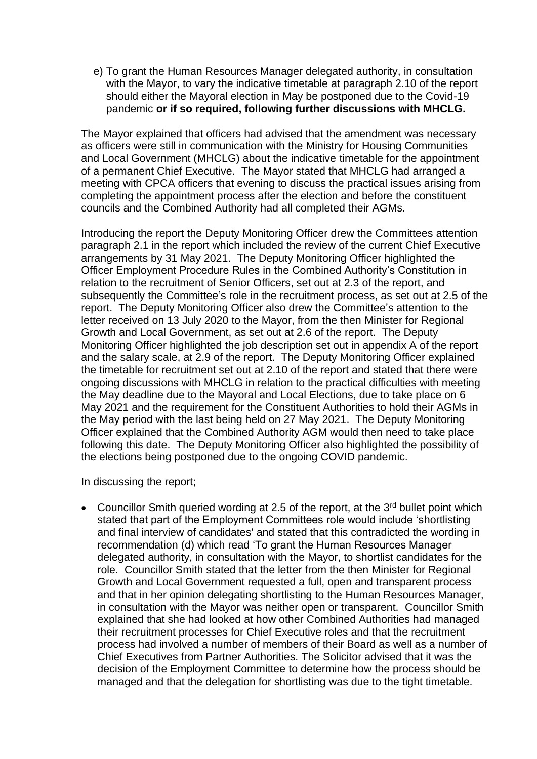e) To grant the Human Resources Manager delegated authority, in consultation with the Mayor, to vary the indicative timetable at paragraph 2.10 of the report should either the Mayoral election in May be postponed due to the Covid-19 pandemic **or if so required, following further discussions with MHCLG.**

The Mayor explained that officers had advised that the amendment was necessary as officers were still in communication with the Ministry for Housing Communities and Local Government (MHCLG) about the indicative timetable for the appointment of a permanent Chief Executive. The Mayor stated that MHCLG had arranged a meeting with CPCA officers that evening to discuss the practical issues arising from completing the appointment process after the election and before the constituent councils and the Combined Authority had all completed their AGMs.

Introducing the report the Deputy Monitoring Officer drew the Committees attention paragraph 2.1 in the report which included the review of the current Chief Executive arrangements by 31 May 2021. The Deputy Monitoring Officer highlighted the Officer Employment Procedure Rules in the Combined Authority's Constitution in relation to the recruitment of Senior Officers, set out at 2.3 of the report, and subsequently the Committee's role in the recruitment process, as set out at 2.5 of the report. The Deputy Monitoring Officer also drew the Committee's attention to the letter received on 13 July 2020 to the Mayor, from the then Minister for Regional Growth and Local Government, as set out at 2.6 of the report. The Deputy Monitoring Officer highlighted the job description set out in appendix A of the report and the salary scale, at 2.9 of the report. The Deputy Monitoring Officer explained the timetable for recruitment set out at 2.10 of the report and stated that there were ongoing discussions with MHCLG in relation to the practical difficulties with meeting the May deadline due to the Mayoral and Local Elections, due to take place on 6 May 2021 and the requirement for the Constituent Authorities to hold their AGMs in the May period with the last being held on 27 May 2021. The Deputy Monitoring Officer explained that the Combined Authority AGM would then need to take place following this date. The Deputy Monitoring Officer also highlighted the possibility of the elections being postponed due to the ongoing COVID pandemic.

In discussing the report;

• Councillor Smith queried wording at 2.5 of the report, at the  $3<sup>rd</sup>$  bullet point which stated that part of the Employment Committees role would include 'shortlisting and final interview of candidates' and stated that this contradicted the wording in recommendation (d) which read 'To grant the Human Resources Manager delegated authority, in consultation with the Mayor, to shortlist candidates for the role. Councillor Smith stated that the letter from the then Minister for Regional Growth and Local Government requested a full, open and transparent process and that in her opinion delegating shortlisting to the Human Resources Manager, in consultation with the Mayor was neither open or transparent. Councillor Smith explained that she had looked at how other Combined Authorities had managed their recruitment processes for Chief Executive roles and that the recruitment process had involved a number of members of their Board as well as a number of Chief Executives from Partner Authorities. The Solicitor advised that it was the decision of the Employment Committee to determine how the process should be managed and that the delegation for shortlisting was due to the tight timetable.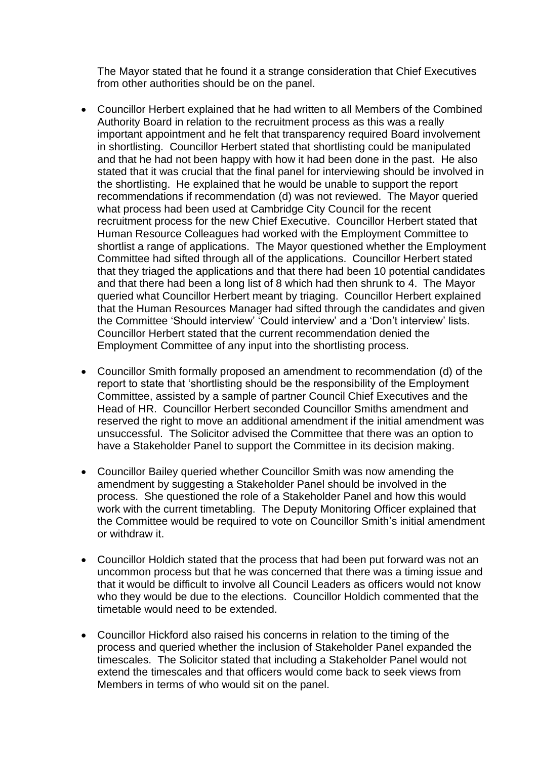The Mayor stated that he found it a strange consideration that Chief Executives from other authorities should be on the panel.

- Councillor Herbert explained that he had written to all Members of the Combined Authority Board in relation to the recruitment process as this was a really important appointment and he felt that transparency required Board involvement in shortlisting. Councillor Herbert stated that shortlisting could be manipulated and that he had not been happy with how it had been done in the past. He also stated that it was crucial that the final panel for interviewing should be involved in the shortlisting. He explained that he would be unable to support the report recommendations if recommendation (d) was not reviewed. The Mayor queried what process had been used at Cambridge City Council for the recent recruitment process for the new Chief Executive. Councillor Herbert stated that Human Resource Colleagues had worked with the Employment Committee to shortlist a range of applications. The Mayor questioned whether the Employment Committee had sifted through all of the applications. Councillor Herbert stated that they triaged the applications and that there had been 10 potential candidates and that there had been a long list of 8 which had then shrunk to 4. The Mayor queried what Councillor Herbert meant by triaging. Councillor Herbert explained that the Human Resources Manager had sifted through the candidates and given the Committee 'Should interview' 'Could interview' and a 'Don't interview' lists. Councillor Herbert stated that the current recommendation denied the Employment Committee of any input into the shortlisting process.
- Councillor Smith formally proposed an amendment to recommendation (d) of the report to state that 'shortlisting should be the responsibility of the Employment Committee, assisted by a sample of partner Council Chief Executives and the Head of HR. Councillor Herbert seconded Councillor Smiths amendment and reserved the right to move an additional amendment if the initial amendment was unsuccessful. The Solicitor advised the Committee that there was an option to have a Stakeholder Panel to support the Committee in its decision making.
- Councillor Bailey queried whether Councillor Smith was now amending the amendment by suggesting a Stakeholder Panel should be involved in the process. She questioned the role of a Stakeholder Panel and how this would work with the current timetabling. The Deputy Monitoring Officer explained that the Committee would be required to vote on Councillor Smith's initial amendment or withdraw it.
- Councillor Holdich stated that the process that had been put forward was not an uncommon process but that he was concerned that there was a timing issue and that it would be difficult to involve all Council Leaders as officers would not know who they would be due to the elections. Councillor Holdich commented that the timetable would need to be extended.
- Councillor Hickford also raised his concerns in relation to the timing of the process and queried whether the inclusion of Stakeholder Panel expanded the timescales. The Solicitor stated that including a Stakeholder Panel would not extend the timescales and that officers would come back to seek views from Members in terms of who would sit on the panel.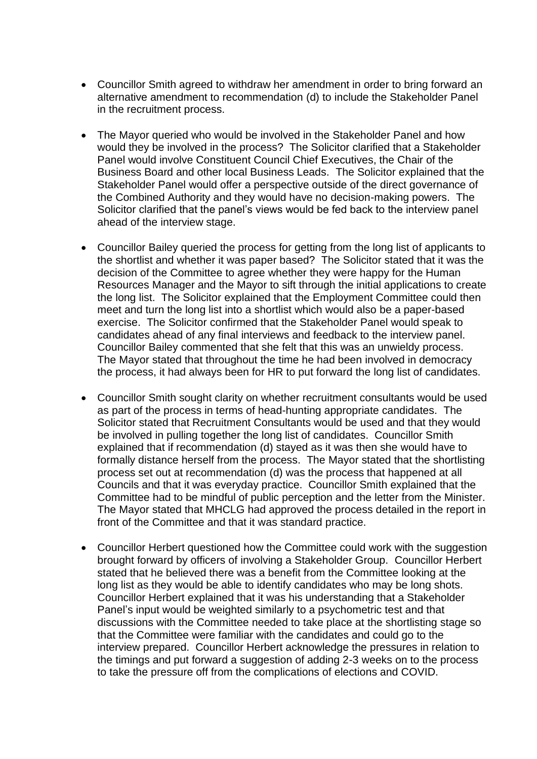- Councillor Smith agreed to withdraw her amendment in order to bring forward an alternative amendment to recommendation (d) to include the Stakeholder Panel in the recruitment process.
- The Mayor queried who would be involved in the Stakeholder Panel and how would they be involved in the process? The Solicitor clarified that a Stakeholder Panel would involve Constituent Council Chief Executives, the Chair of the Business Board and other local Business Leads. The Solicitor explained that the Stakeholder Panel would offer a perspective outside of the direct governance of the Combined Authority and they would have no decision-making powers. The Solicitor clarified that the panel's views would be fed back to the interview panel ahead of the interview stage.
- Councillor Bailey queried the process for getting from the long list of applicants to the shortlist and whether it was paper based? The Solicitor stated that it was the decision of the Committee to agree whether they were happy for the Human Resources Manager and the Mayor to sift through the initial applications to create the long list. The Solicitor explained that the Employment Committee could then meet and turn the long list into a shortlist which would also be a paper-based exercise. The Solicitor confirmed that the Stakeholder Panel would speak to candidates ahead of any final interviews and feedback to the interview panel. Councillor Bailey commented that she felt that this was an unwieldy process. The Mayor stated that throughout the time he had been involved in democracy the process, it had always been for HR to put forward the long list of candidates.
- Councillor Smith sought clarity on whether recruitment consultants would be used as part of the process in terms of head-hunting appropriate candidates. The Solicitor stated that Recruitment Consultants would be used and that they would be involved in pulling together the long list of candidates. Councillor Smith explained that if recommendation (d) stayed as it was then she would have to formally distance herself from the process. The Mayor stated that the shortlisting process set out at recommendation (d) was the process that happened at all Councils and that it was everyday practice. Councillor Smith explained that the Committee had to be mindful of public perception and the letter from the Minister. The Mayor stated that MHCLG had approved the process detailed in the report in front of the Committee and that it was standard practice.
- Councillor Herbert questioned how the Committee could work with the suggestion brought forward by officers of involving a Stakeholder Group. Councillor Herbert stated that he believed there was a benefit from the Committee looking at the long list as they would be able to identify candidates who may be long shots. Councillor Herbert explained that it was his understanding that a Stakeholder Panel's input would be weighted similarly to a psychometric test and that discussions with the Committee needed to take place at the shortlisting stage so that the Committee were familiar with the candidates and could go to the interview prepared. Councillor Herbert acknowledge the pressures in relation to the timings and put forward a suggestion of adding 2-3 weeks on to the process to take the pressure off from the complications of elections and COVID.